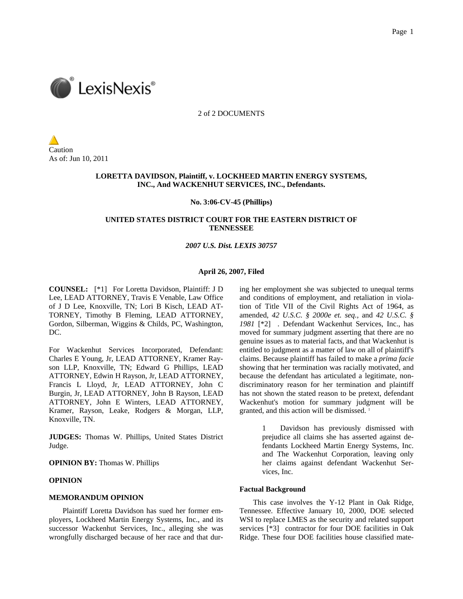

#### 2 of 2 DOCUMENTS

Caution As of: Jun 10, 2011

# **LORETTA DAVIDSON, Plaintiff, v. LOCKHEED MARTIN ENERGY SYSTEMS, INC., And WACKENHUT SERVICES, INC., Defendants.**

# **No. 3:06-CV-45 (Phillips)**

# **UNITED STATES DISTRICT COURT FOR THE EASTERN DISTRICT OF TENNESSEE**

# *2007 U.S. Dist. LEXIS 30757*

#### **April 26, 2007, Filed**

**COUNSEL:** [\*1] For Loretta Davidson, Plaintiff: J D Lee, LEAD ATTORNEY, Travis E Venable, Law Office of J D Lee, Knoxville, TN; Lori B Kisch, LEAD AT-TORNEY, Timothy B Fleming, LEAD ATTORNEY, Gordon, Silberman, Wiggins & Childs, PC, Washington, DC.

For Wackenhut Services Incorporated, Defendant: Charles E Young, Jr, LEAD ATTORNEY, Kramer Rayson LLP, Knoxville, TN; Edward G Phillips, LEAD ATTORNEY, Edwin H Rayson, Jr, LEAD ATTORNEY, Francis L Lloyd, Jr, LEAD ATTORNEY, John C Burgin, Jr, LEAD ATTORNEY, John B Rayson, LEAD ATTORNEY, John E Winters, LEAD ATTORNEY, Kramer, Rayson, Leake, Rodgers & Morgan, LLP, Knoxville, TN.

**JUDGES:** Thomas W. Phillips, United States District Judge.

**OPINION BY:** Thomas W. Phillips

# **OPINION**

#### **MEMORANDUM OPINION**

Plaintiff Loretta Davidson has sued her former employers, Lockheed Martin Energy Systems, Inc., and its successor Wackenhut Services, Inc., alleging she was wrongfully discharged because of her race and that during her employment she was subjected to unequal terms and conditions of employment, and retaliation in violation of Title VII of the Civil Rights Act of 1964, as amended, *42 U.S.C. § 2000e et. seq.,* and *42 U.S.C. § 1981* [\*2] . Defendant Wackenhut Services, Inc., has moved for summary judgment asserting that there are no genuine issues as to material facts, and that Wackenhut is entitled to judgment as a matter of law on all of plaintiff's claims. Because plaintiff has failed to make a *prima facie* showing that her termination was racially motivated, and because the defendant has articulated a legitimate, nondiscriminatory reason for her termination and plaintiff has not shown the stated reason to be pretext, defendant Wackenhut's motion for summary judgment will be granted, and this action will be dismissed.<sup>1</sup>

> 1 Davidson has previously dismissed with prejudice all claims she has asserted against defendants Lockheed Martin Energy Systems, Inc. and The Wackenhut Corporation, leaving only her claims against defendant Wackenhut Services, Inc.

# **Factual Background**

This case involves the Y-12 Plant in Oak Ridge, Tennessee. Effective January 10, 2000, DOE selected WSI to replace LMES as the security and related support services [\*3] contractor for four DOE facilities in Oak Ridge. These four DOE facilities house classified mate-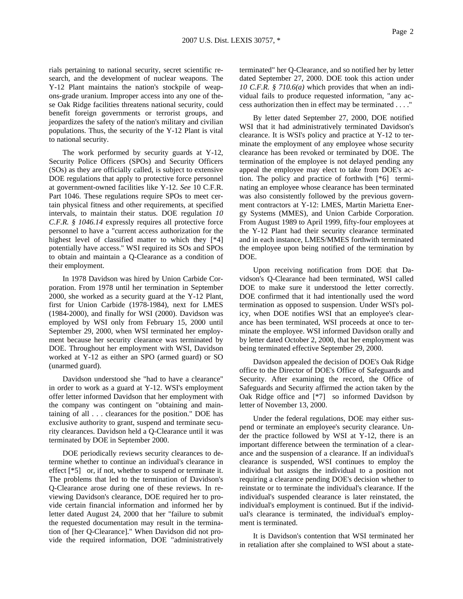rials pertaining to national security, secret scientific research, and the development of nuclear weapons. The Y-12 Plant maintains the nation's stockpile of weapons-grade uranium. Improper access into any one of these Oak Ridge facilities threatens national security, could benefit foreign governments or terrorist groups, and jeopardizes the safety of the nation's military and civilian populations. Thus, the security of the Y-12 Plant is vital to national security.

The work performed by security guards at Y-12, Security Police Officers (SPOs) and Security Officers (SOs) as they are officially called, is subject to extensive DOE regulations that apply to protective force personnel at government-owned facilities like Y-12. *See* 10 C.F.R. Part 1046. These regulations require SPOs to meet certain physical fitness and other requirements, at specified intervals, to maintain their status. DOE regulation *10 C.F.R. § 1046.14* expressly requires all protective force personnel to have a "current access authorization for the highest level of classified matter to which they [\*4] potentially have access." WSI required its SOs and SPOs to obtain and maintain a Q-Clearance as a condition of their employment.

In 1978 Davidson was hired by Union Carbide Corporation. From 1978 until her termination in September 2000, she worked as a security guard at the Y-12 Plant, first for Union Carbide (1978-1984), next for LMES (1984-2000), and finally for WSI (2000). Davidson was employed by WSI only from February 15, 2000 until September 29, 2000, when WSI terminated her employment because her security clearance was terminated by DOE. Throughout her employment with WSI, Davidson worked at Y-12 as either an SPO (armed guard) or SO (unarmed guard).

Davidson understood she "had to have a clearance" in order to work as a guard at Y-12. WSI's employment offer letter informed Davidson that her employment with the company was contingent on "obtaining and maintaining of all . . . clearances for the position." DOE has exclusive authority to grant, suspend and terminate security clearances. Davidson held a Q-Clearance until it was terminated by DOE in September 2000.

DOE periodically reviews security clearances to determine whether to continue an individual's clearance in effect [\*5] or, if not, whether to suspend or terminate it. The problems that led to the termination of Davidson's Q-Clearance arose during one of these reviews. In reviewing Davidson's clearance, DOE required her to provide certain financial information and informed her by letter dated August 24, 2000 that her "failure to submit the requested documentation may result in the termination of [her Q-Clearance]." When Davidson did not provide the required information, DOE "administratively terminated" her Q-Clearance, and so notified her by letter dated September 27, 2000. DOE took this action under *10 C.F.R. § 710.6(a)* which provides that when an individual fails to produce requested information, "any access authorization then in effect may be terminated . . . ."

By letter dated September 27, 2000, DOE notified WSI that it had administratively terminated Davidson's clearance. It is WSI's policy and practice at Y-12 to terminate the employment of any employee whose security clearance has been revoked or terminated by DOE. The termination of the employee is not delayed pending any appeal the employee may elect to take from DOE's action. The policy and practice of forthwith [\*6] terminating an employee whose clearance has been terminated was also consistently followed by the previous government contractors at Y-12: LMES, Martin Marietta Energy Systems (MMES), and Union Carbide Corporation. From August 1989 to April 1999, fifty-four employees at the Y-12 Plant had their security clearance terminated and in each instance, LMES/MMES forthwith terminated the employee upon being notified of the termination by DOE.

Upon receiving notification from DOE that Davidson's Q-Clearance had been terminated, WSI called DOE to make sure it understood the letter correctly. DOE confirmed that it had intentionally used the word termination as opposed to suspension. Under WSI's policy, when DOE notifies WSI that an employee's clearance has been terminated, WSI proceeds at once to terminate the employee. WSI informed Davidson orally and by letter dated October 2, 2000, that her employment was being terminated effective September 29, 2000.

Davidson appealed the decision of DOE's Oak Ridge office to the Director of DOE's Office of Safeguards and Security. After examining the record, the Office of Safeguards and Security affirmed the action taken by the Oak Ridge office and [\*7] so informed Davidson by letter of November 13, 2000.

Under the federal regulations, DOE may either suspend or terminate an employee's security clearance. Under the practice followed by WSI at Y-12, there is an important difference between the termination of a clearance and the suspension of a clearance. If an individual's clearance is suspended, WSI continues to employ the individual but assigns the individual to a position not requiring a clearance pending DOE's decision whether to reinstate or to terminate the individual's clearance. If the individual's suspended clearance is later reinstated, the individual's employment is continued. But if the individual's clearance is terminated, the individual's employment is terminated.

It is Davidson's contention that WSI terminated her in retaliation after she complained to WSI about a state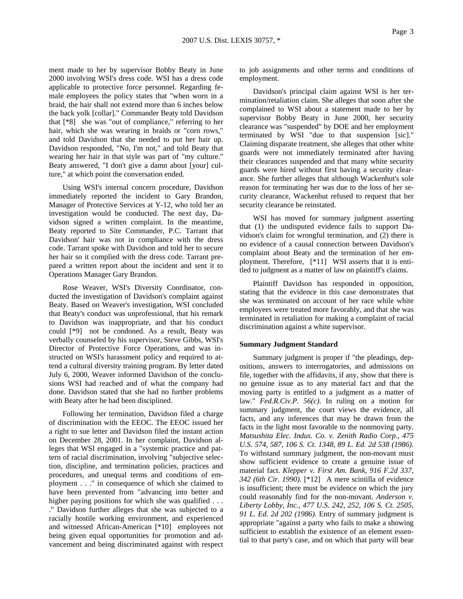ment made to her by supervisor Bobby Beaty in June 2000 involving WSI's dress code. WSI has a dress code applicable to protective force personnel. Regarding female employees the policy states that "when worn in a braid, the hair shall not extend more than 6 inches below the back yolk [collar]." Commander Beaty told Davidson that [\*8] she was "out of compliance," referring to her hair, which she was wearing in braids or "corn rows," and told Davidson that she needed to put her hair up. Davidson responded, "No, I'm not," and told Beaty that wearing her hair in that style was part of "my culture." Beaty answered, "I don't give a damn about [your] culture," at which point the conversation ended.

Using WSI's internal concern procedure, Davidson immediately reported the incident to Gary Brandon, Manager of Protective Services at Y-12, who told her an investigation would be conducted. The next day, Davidson signed a written complaint. In the meantime, Beaty reported to Site Commander, P.C. Tarrant that Davidson' hair was not in compliance with the dress code. Tarrant spoke with Davidson and told her to secure her hair so it complied with the dress code. Tarrant prepared a written report about the incident and sent it to Operations Manager Gary Brandon.

Rose Weaver, WSI's Diversity Coordinator, conducted the investigation of Davidson's complaint against Beaty. Based on Weaver's investigation, WSI concluded that Beaty's conduct was unprofessional, that his remark to Davidson was inappropriate, and that his conduct could [\*9] not be condoned. As a result, Beaty was verbally counseled by his supervisor, Steve Gibbs, WSI's Director of Protective Force Operations, and was instructed on WSI's harassment policy and required to attend a cultural diversity training program. By letter dated July 6, 2000, Weaver informed Davidson of the conclusions WSI had reached and of what the company had done. Davidson stated that she had no further problems with Beaty after he had been disciplined.

Following her termination, Davidson filed a charge of discrimination with the EEOC. The EEOC issued her a right to sue letter and Davidson filed the instant action on December 28, 2001. In her complaint, Davidson alleges that WSI engaged in a "systemic practice and pattern of racial discrimination, involving "subjective selection, discipline, and termination policies, practices and procedures, and unequal terms and conditions of employment . . ." in consequence of which she claimed to have been prevented from "advancing into better and higher paying positions for which she was qualified ... ." Davidson further alleges that she was subjected to a racially hostile working environment, and experienced and witnessed African-American [\*10] employees not being given equal opportunities for promotion and advancement and being discriminated against with respect to job assignments and other terms and conditions of employment.

Davidson's principal claim against WSI is her termination/retaliation claim. She alleges that soon after she complained to WSI about a statement made to her by supervisor Bobby Beaty in June 2000, her security clearance was "suspended" by DOE and her employment terminated by WSI "due to that suspension [sic]." Claiming disparate treatment, she alleges that other white guards were not immediately terminated after having their clearances suspended and that many white security guards were hired without first having a security clearance. She further alleges that although Wackenhut's sole reason for terminating her was due to the loss of her security clearance, Wackenhut refused to request that her security clearance be reinstated.

WSI has moved for summary judgment asserting that (1) the undisputed evidence fails to support Davidson's claim for wrongful termination, and (2) there is no evidence of a causal connection between Davidson's complaint about Beaty and the termination of her employment. Therefore, [\*11] WSI asserts that it is entitled to judgment as a matter of law on plaintiff's claims.

Plaintiff Davidson has responded in opposition, stating that the evidence in this case demonstrates that she was terminated on account of her race while white employees were treated more favorably, and that she was terminated in retaliation for making a complaint of racial discrimination against a white supervisor.

#### **Summary Judgment Standard**

Summary judgment is proper if "the pleadings, depositions, answers to interrogatories, and admissions on file, together with the affidavits, if any, show that there is no genuine issue as to any material fact and that the moving party is entitled to a judgment as a matter of law." *Fed.R.Civ.P. 56(c)*. In ruling on a motion for summary judgment, the court views the evidence, all facts, and any inferences that may be drawn from the facts in the light most favorable to the nonmoving party. *Matsushita Elec. Indus. Co. v. Zenith Radio Corp., 475 U.S. 574, 587, 106 S. Ct. 1348, 89 L. Ed. 2d 538 (1986)*. To withstand summary judgment, the non-movant must show sufficient evidence to create a genuine issue of material fact. *Klepper v. First Am. Bank, 916 F.2d 337, 342 (6th Cir. 1990).* [\*12] A mere scintilla of evidence is insufficient; there must be evidence on which the jury could reasonably find for the non-movant. *Anderson v. Liberty Lobby, Inc., 477 U.S. 242, 252, 106 S. Ct. 2505, 91 L. Ed. 2d 202 (1986)*. Entry of summary judgment is appropriate "against a party who fails to make a showing sufficient to establish the existence of an element essential to that party's case, and on which that party will bear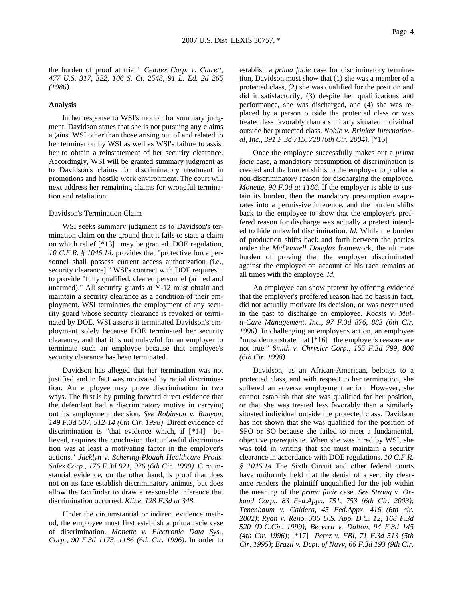the burden of proof at trial." *Celotex Corp. v. Catrett, 477 U.S. 317, 322, 106 S. Ct. 2548, 91 L. Ed. 2d 265 (1986)*.

# **Analysis**

In her response to WSI's motion for summary judgment, Davidson states that she is not pursuing any claims against WSI other than those arising out of and related to her termination by WSI as well as WSI's failure to assist her to obtain a reinstatement of her security clearance. Accordingly, WSI will be granted summary judgment as to Davidson's claims for discriminatory treatment in promotions and hostile work environment. The court will next address her remaining claims for wrongful termination and retaliation.

#### Davidson's Termination Claim

WSI seeks summary judgment as to Davidson's termination claim on the ground that it fails to state a claim on which relief [\*13] may be granted. DOE regulation, *10 C.F.R. § 1046.14*, provides that "protective force personnel shall possess current access authorization (i.e., security clearance]." WSI's contract with DOE requires it to provide "fully qualified, cleared personnel (armed and unarmed)." All security guards at Y-12 must obtain and maintain a security clearance as a condition of their employment. WSI terminates the employment of any security guard whose security clearance is revoked or terminated by DOE. WSI asserts it terminated Davidson's employment solely because DOE terminated her security clearance, and that it is not unlawful for an employer to terminate such an employee because that employee's security clearance has been terminated.

Davidson has alleged that her termination was not justified and in fact was motivated by racial discrimination. An employee may prove discrimination in two ways. The first is by putting forward direct evidence that the defendant had a discriminatory motive in carrying out its employment decision. *See Robinson v. Runyon, 149 F.3d 507, 512-14 (6th Cir. 1998)*. Direct evidence of discrimination is "that evidence which, if [\*14] believed, requires the conclusion that unlawful discrimination was at least a motivating factor in the employer's actions." *Jacklyn v. Schering-Plough Healthcare Prods. Sales Corp., 176 F.3d 921, 926 (6th Cir. 1999)*. Circumstantial evidence, on the other hand, is proof that does not on its face establish discriminatory animus, but does allow the factfinder to draw a reasonable inference that discrimination occurred. *Kline, 128 F.3d at 348*.

Under the circumstantial or indirect evidence method, the employee must first establish a prima facie case of discrimination. *Monette v. Electronic Data Sys., Corp., 90 F.3d 1173, 1186 (6th Cir. 1996)*. In order to

establish a *prima facie* case for discriminatory termination, Davidson must show that (1) she was a member of a protected class, (2) she was qualified for the position and did it satisfactorily, (3) despite her qualifications and performance, she was discharged, and (4) she was replaced by a person outside the protected class or was treated less favorably than a similarly situated individual outside her protected class. *Noble v. Brinker International, Inc., 391 F.3d 715, 728 (6th Cir. 2004).* [\*15]

Once the employee successfully makes out a *prima facie* case, a mandatory presumption of discrimination is created and the burden shifts to the employer to proffer a non-discriminatory reason for discharging the employee. *Monette, 90 F.3d at 1186*. If the employer is able to sustain its burden, then the mandatory presumption evaporates into a permissive inference, and the burden shifts back to the employee to show that the employer's proffered reason for discharge was actually a pretext intended to hide unlawful discrimination. *Id.* While the burden of production shifts back and forth between the parties under the *McDonnell Douglas* framework, the ultimate burden of proving that the employer discriminated against the employee on account of his race remains at all times with the employee. *Id.*

An employee can show pretext by offering evidence that the employer's proffered reason had no basis in fact, did not actually motivate its decision, or was never used in the past to discharge an employee. *Kocsis v. Multi-Care Management, Inc., 97 F.3d 876, 883 (6th Cir. 1996)*. In challenging an employer's action, an employee "must demonstrate that [\*16] the employer's reasons are not true." *Smith v. Chrysler Corp., 155 F.3d 799, 806 (6th Cir. 1998)*.

Davidson, as an African-American, belongs to a protected class, and with respect to her termination, she suffered an adverse employment action. However, she cannot establish that she was qualified for her position, or that she was treated less favorably than a similarly situated individual outside the protected class. Davidson has not shown that she was qualified for the position of SPO or SO because she failed to meet a fundamental, objective prerequisite. When she was hired by WSI, she was told in writing that she must maintain a security clearance in accordance with DOE regulations. *10 C.F.R. § 1046.14* The Sixth Circuit and other federal courts have uniformly held that the denial of a security clearance renders the plaintiff unqualified for the job within the meaning of the *prima facie* case. *See Strong v. Orkand Corp., 83 Fed.Appx. 751, 753 (6th Cir. 2003)*; *Tenenbaum v. Caldera, 45 Fed.Appx. 416 (6th cir. 2002)*; *Ryan v. Reno, 335 U.S. App. D.C. 12, 168 F.3d 520 (D.C.Cir. 1999)*; *Becerra v. Dalton, 94 F.3d 145 (4th Cir. 1996)*; [\*17] *Perez v. FBI, 71 F.3d 513 (5th Cir. 1995)*; *Brazil v. Dept. of Navy, 66 F.3d 193 (9th Cir.*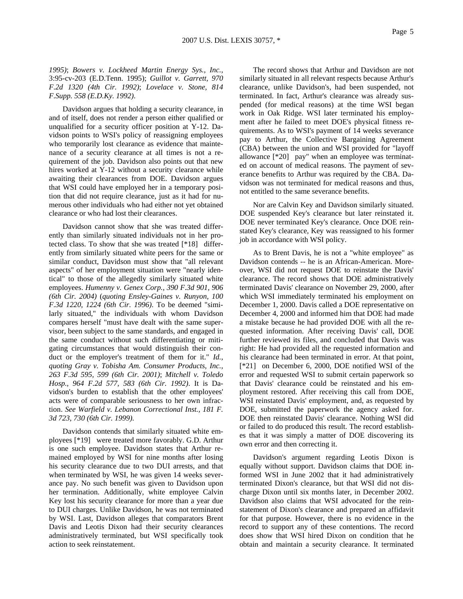*1995)*; *Bowers v. Lockheed Martin Energy Sys., Inc.,* 3:95-cv-203 (E.D.Tenn. 1995); *Guillot v. Garrett, 970 F.2d 1320 (4th Cir. 1992)*; *Lovelace v. Stone, 814 F.Supp. 558 (E.D.Ky. 1992)*.

Davidson argues that holding a security clearance, in and of itself, does not render a person either qualified or unqualified for a security officer position at Y-12. Davidson points to WSI's policy of reassigning employees who temporarily lost clearance as evidence that maintenance of a security clearance at all times is not a requirement of the job. Davidson also points out that new hires worked at Y-12 without a security clearance while awaiting their clearances from DOE. Davidson argues that WSI could have employed her in a temporary position that did not require clearance, just as it had for numerous other individuals who had either not yet obtained clearance or who had lost their clearances.

Davidson cannot show that she was treated differently than similarly situated individuals not in her protected class. To show that she was treated [\*18] differently from similarly situated white peers for the same or similar conduct, Davidson must show that "all relevant aspects" of her employment situation were "nearly identical" to those of the allegedly similarly situated white employees. *Humenny v. Genex Corp., 390 F.3d 901, 906 (6th Cir. 2004)* (*quoting Ensley-Gaines v. Runyon, 100 F.3d 1220, 1224 (6th Cir. 1996)*. To be deemed "similarly situated," the individuals with whom Davidson compares herself "must have dealt with the same supervisor, been subject to the same standards, and engaged in the same conduct without such differentiating or mitigating circumstances that would distinguish their conduct or the employer's treatment of them for it." *Id., quoting Gray v. Tobisha Am. Consumer Products, Inc., 263 F.3d 595, 599 (6th Cir. 2001)*; *Mitchell v. Toledo Hosp., 964 F.2d 577, 583 (6th Cir. 1992)*. It is Davidson's burden to establish that the other employees' acts were of comparable seriousness to her own infraction. *See Warfield v. Lebanon Correctional Inst., 181 F. 3d 723, 730 (6th Cir. 1999)*.

Davidson contends that similarly situated white employees [\*19] were treated more favorably. G.D. Arthur is one such employee. Davidson states that Arthur remained employed by WSI for nine months after losing his security clearance due to two DUI arrests, and that when terminated by WSI, he was given 14 weeks severance pay. No such benefit was given to Davidson upon her termination. Additionally, white employee Calvin Key lost his security clearance for more than a year due to DUI charges. Unlike Davidson, he was not terminated by WSI. Last, Davidson alleges that comparators Brent Davis and Leotis Dixon had their security clearances administratively terminated, but WSI specifically took action to seek reinstatement.

The record shows that Arthur and Davidson are not similarly situated in all relevant respects because Arthur's clearance, unlike Davidson's, had been suspended, not terminated. In fact, Arthur's clearance was already suspended (for medical reasons) at the time WSI began work in Oak Ridge. WSI later terminated his employment after he failed to meet DOE's physical fitness requirements. As to WSI's payment of 14 weeks severance pay to Arthur, the Collective Bargaining Agreement (CBA) between the union and WSI provided for "layoff allowance [\*20] pay" when an employee was terminated on account of medical reasons. The payment of severance benefits to Arthur was required by the CBA. Davidson was not terminated for medical reasons and thus, not entitled to the same severance benefits.

Nor are Calvin Key and Davidson similarly situated. DOE suspended Key's clearance but later reinstated it. DOE never terminated Key's clearance. Once DOE reinstated Key's clearance, Key was reassigned to his former job in accordance with WSI policy.

As to Brent Davis, he is not a "white employee" as Davidson contends -- he is an African-American. Moreover, WSI did not request DOE to reinstate the Davis' clearance. The record shows that DOE administratively terminated Davis' clearance on November 29, 2000, after which WSI immediately terminated his employment on December 1, 2000. Davis called a DOE representative on December 4, 2000 and informed him that DOE had made a mistake because he had provided DOE with all the requested information. After receiving Davis' call, DOE further reviewed its files, and concluded that Davis was right: He had provided all the requested information and his clearance had been terminated in error. At that point, [\*21] on December 6, 2000, DOE notified WSI of the error and requested WSI to submit certain paperwork so that Davis' clearance could be reinstated and his employment restored. After receiving this call from DOE, WSI reinstated Davis' employment, and, as requested by DOE, submitted the paperwork the agency asked for. DOE then reinstated Davis' clearance. Nothing WSI did or failed to do produced this result. The record establishes that it was simply a matter of DOE discovering its own error and then correcting it.

Davidson's argument regarding Leotis Dixon is equally without support. Davidson claims that DOE informed WSI in June 2002 that it had administratively terminated Dixon's clearance, but that WSI did not discharge Dixon until six months later, in December 2002. Davidson also claims that WSI advocated for the reinstatement of Dixon's clearance and prepared an affidavit for that purpose. However, there is no evidence in the record to support any of these contentions. The record does show that WSI hired Dixon on condition that he obtain and maintain a security clearance. It terminated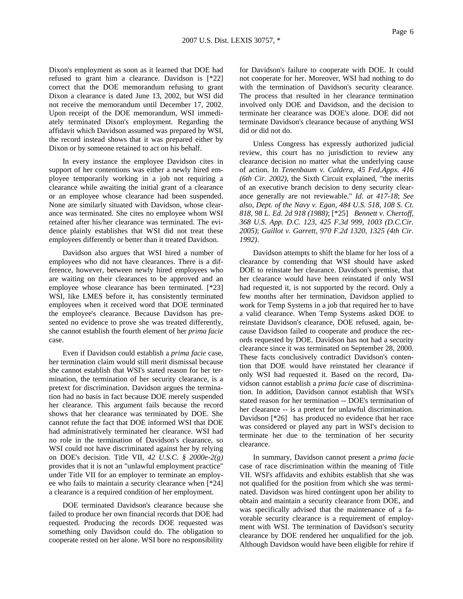Dixon's employment as soon as it learned that DOE had refused to grant him a clearance. Davidson is [\*22] correct that the DOE memorandum refusing to grant Dixon a clearance is dated June 13, 2002, but WSI did not receive the memorandum until December 17, 2002. Upon receipt of the DOE memorandum, WSI immediately terminated Dixon's employment. Regarding the affidavit which Davidson assumed was prepared by WSI, the record instead shows that it was prepared either by Dixon or by someone retained to act on his behalf.

In every instance the employee Davidson cites in support of her contentions was either a newly hired employee temporarily working in a job not requiring a clearance while awaiting the initial grant of a clearance or an employee whose clearance had been suspended. None are similarly situated with Davidson, whose clearance was terminated. She cites no employee whom WSI retained after his/her clearance was terminated. The evidence plainly establishes that WSI did not treat these employees differently or better than it treated Davidson.

Davidson also argues that WSI hired a number of employees who did not have clearances. There is a difference, however, between newly hired employees who are waiting on their clearances to be approved and an employee whose clearance has been terminated. [\*23] WSI, like LMES before it, has consistently terminated employees when it received word that DOE terminated the employee's clearance. Because Davidson has presented no evidence to prove she was treated differently, she cannot establish the fourth element of her *prima facie* case.

Even if Davidson could establish a *prima facie* case, her termination claim would still merit dismissal because she cannot establish that WSI's stated reason for her termination, the termination of her security clearance, is a pretext for discrimination. Davidson argues the termination had no basis in fact because DOE merely suspended her clearance. This argument fails because the record shows that her clearance was terminated by DOE. She cannot refute the fact that DOE informed WSI that DOE had administratively terminated her clearance. WSI had no role in the termination of Davidson's clearance, so WSI could not have discriminated against her by relying on DOE's decision. Title VII, *42 U.S.C. § 2000e-2(g)* provides that it is not an "unlawful employment practice" under Title VII for an employer to terminate an employee who fails to maintain a security clearance when [\*24] a clearance is a required condition of her employment.

DOE terminated Davidson's clearance because she failed to produce her own financial records that DOE had requested. Producing the records DOE requested was something only Davidson could do. The obligation to cooperate rested on her alone. WSI bore no responsibility for Davidson's failure to cooperate with DOE. It could not cooperate for her. Moreover, WSI had nothing to do with the termination of Davidson's security clearance. The process that resulted in her clearance termination involved only DOE and Davidson, and the decision to terminate her clearance was DOE's alone. DOE did not terminate Davidson's clearance because of anything WSI did or did not do.

Unless Congress has expressly authorized judicial review, this court has no jurisdiction to review any clearance decision no matter what the underlying cause of action. In *Tenenbaum v. Caldera, 45 Fed.Appx. 416 (6th Cir. 2002)*, the Sixth Circuit explained, "the merits of an executive branch decision to deny security clearance generally are not reviewable." *Id. at 417-18*; *See also, Dept. of the Navy v. Egan, 484 U.S. 518, 108 S. Ct. 818, 98 L. Ed. 2d 918 (1988)*; [\*25] *Bennett v. Chertoff, 368 U.S. App. D.C. 123, 425 F.3d 999, 1003 (D.C.Cir. 2005)*; *Guillot v. Garrett, 970 F.2d 1320, 1325 (4th Cir. 1992)*.

Davidson attempts to shift the blame for her loss of a clearance by contending that WSI should have asked DOE to reinstate her clearance. Davidson's premise, that her clearance would have been reinstated if only WSI had requested it, is not supported by the record. Only a few months after her termination, Davidson applied to work for Temp Systems in a job that required her to have a valid clearance. When Temp Systems asked DOE to reinstate Davidson's clearance, DOE refused, again, because Davidson failed to cooperate and produce the records requested by DOE. Davidson has not had a security clearance since it was terminated on September 28, 2000. These facts conclusively contradict Davidson's contention that DOE would have reinstated her clearance if only WSI had requested it. Based on the record, Davidson cannot establish a *prima facie* case of discrimination. In addition, Davidson cannot establish that WSI's stated reason for her termination -- DOE's termination of her clearance -- is a pretext for unlawful discrimination. Davidson [\*26] has produced no evidence that her race was considered or played any part in WSI's decision to terminate her due to the termination of her security clearance.

In summary, Davidson cannot present a *prima facie* case of race discrimination within the meaning of Title VII. WSI's affidavits and exhibits establish that she was not qualified for the position from which she was terminated. Davidson was hired contingent upon her ability to obtain and maintain a security clearance from DOE, and was specifically advised that the maintenance of a favorable security clearance is a requirement of employment with WSI. The termination of Davidson's security clearance by DOE rendered her unqualified for the job. Although Davidson would have been eligible for rehire if